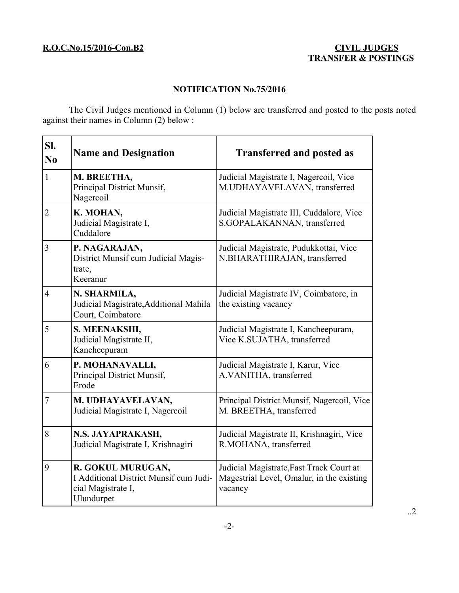## **NOTIFICATION No.75/2016**

The Civil Judges mentioned in Column (1) below are transferred and posted to the posts noted against their names in Column (2) below :

| SI.<br>$\bf No$ | <b>Name and Designation</b>                                                                     | <b>Transferred and posted as</b>                                                                 |
|-----------------|-------------------------------------------------------------------------------------------------|--------------------------------------------------------------------------------------------------|
| $\mathbf{1}$    | M. BREETHA,<br>Principal District Munsif,<br>Nagercoil                                          | Judicial Magistrate I, Nagercoil, Vice<br>M.UDHAYAVELAVAN, transferred                           |
| $\overline{2}$  | K. MOHAN,<br>Judicial Magistrate I,<br>Cuddalore                                                | Judicial Magistrate III, Cuddalore, Vice<br>S.GOPALAKANNAN, transferred                          |
| $\overline{3}$  | P. NAGARAJAN,<br>District Munsif cum Judicial Magis-<br>trate,<br>Keeranur                      | Judicial Magistrate, Pudukkottai, Vice<br>N.BHARATHIRAJAN, transferred                           |
| $\overline{4}$  | N. SHARMILA,<br>Judicial Magistrate, Additional Mahila<br>Court, Coimbatore                     | Judicial Magistrate IV, Coimbatore, in<br>the existing vacancy                                   |
| 5               | S. MEENAKSHI,<br>Judicial Magistrate II,<br>Kancheepuram                                        | Judicial Magistrate I, Kancheepuram,<br>Vice K.SUJATHA, transferred                              |
| 6               | P. MOHANAVALLI,<br>Principal District Munsif,<br>Erode                                          | Judicial Magistrate I, Karur, Vice<br>A.VANITHA, transferred                                     |
| $\overline{7}$  | M. UDHAYAVELAVAN,<br>Judicial Magistrate I, Nagercoil                                           | Principal District Munsif, Nagercoil, Vice<br>M. BREETHA, transferred                            |
| 8               | N.S. JAYAPRAKASH,<br>Judicial Magistrate I, Krishnagiri                                         | Judicial Magistrate II, Krishnagiri, Vice<br>R.MOHANA, transferred                               |
| 9               | R. GOKUL MURUGAN,<br>I Additional District Munsif cum Judi-<br>cial Magistrate I,<br>Ulundurpet | Judicial Magistrate, Fast Track Court at<br>Magestrial Level, Omalur, in the existing<br>vacancy |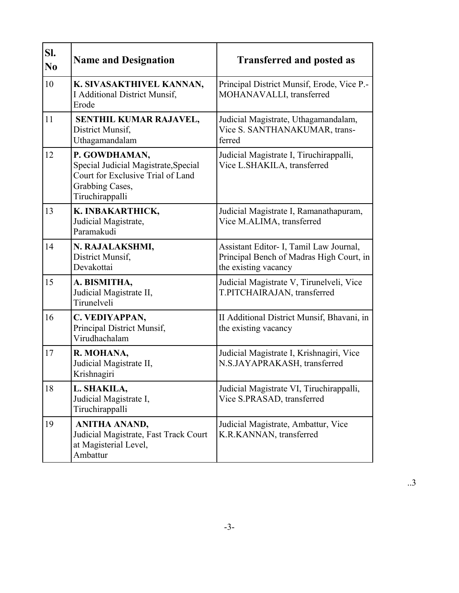| SI.<br>N <sub>0</sub> | <b>Name and Designation</b>                                                                                                      | <b>Transferred and posted as</b>                                                                            |
|-----------------------|----------------------------------------------------------------------------------------------------------------------------------|-------------------------------------------------------------------------------------------------------------|
| 10                    | K. SIVASAKTHIVEL KANNAN,<br>I Additional District Munsif,<br>Erode                                                               | Principal District Munsif, Erode, Vice P.-<br>MOHANAVALLI, transferred                                      |
| 11                    | SENTHIL KUMAR RAJAVEL,<br>District Munsif.<br>Uthagamandalam                                                                     | Judicial Magistrate, Uthagamandalam,<br>Vice S. SANTHANAKUMAR, trans-<br>ferred                             |
| 12                    | P. GOWDHAMAN,<br>Special Judicial Magistrate, Special<br>Court for Exclusive Trial of Land<br>Grabbing Cases,<br>Tiruchirappalli | Judicial Magistrate I, Tiruchirappalli,<br>Vice L.SHAKILA, transferred                                      |
| 13                    | K. INBAKARTHICK,<br>Judicial Magistrate,<br>Paramakudi                                                                           | Judicial Magistrate I, Ramanathapuram,<br>Vice M.ALIMA, transferred                                         |
| 14                    | N. RAJALAKSHMI,<br>District Munsif,<br>Devakottai                                                                                | Assistant Editor- I, Tamil Law Journal,<br>Principal Bench of Madras High Court, in<br>the existing vacancy |
| 15                    | A. BISMITHA,<br>Judicial Magistrate II,<br>Tirunelveli                                                                           | Judicial Magistrate V, Tirunelveli, Vice<br>T.PITCHAIRAJAN, transferred                                     |
| 16                    | C. VEDIYAPPAN,<br>Principal District Munsif,<br>Virudhachalam                                                                    | II Additional District Munsif, Bhavani, in<br>the existing vacancy                                          |
| 17                    | R. MOHANA,<br>Judicial Magistrate II,<br>Krishnagiri                                                                             | Judicial Magistrate I, Krishnagiri, Vice<br>N.S.JAYAPRAKASH, transferred                                    |
| 18                    | L. SHAKILA,<br>Judicial Magistrate I,<br>Tiruchirappalli                                                                         | Judicial Magistrate VI, Tiruchirappalli,<br>Vice S.PRASAD, transferred                                      |
| 19                    | ANITHA ANAND,<br>Judicial Magistrate, Fast Track Court<br>at Magisterial Level,<br>Ambattur                                      | Judicial Magistrate, Ambattur, Vice<br>K.R.KANNAN, transferred                                              |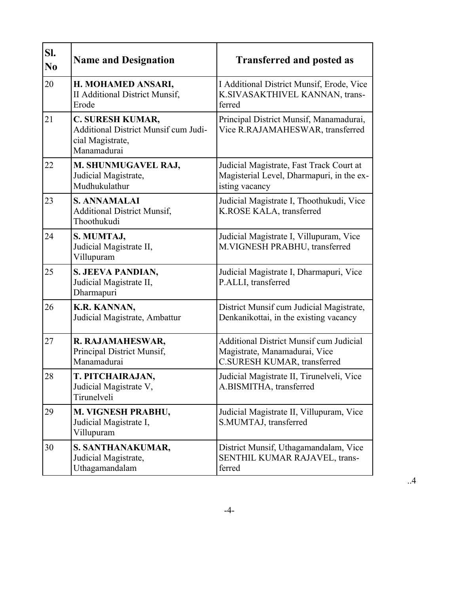| SI.<br>N <sub>0</sub> | <b>Name and Designation</b>                                                                        | <b>Transferred and posted as</b>                                                                               |
|-----------------------|----------------------------------------------------------------------------------------------------|----------------------------------------------------------------------------------------------------------------|
| 20                    | H. MOHAMED ANSARI,<br><b>II Additional District Munsif,</b><br>Erode                               | I Additional District Munsif, Erode, Vice<br>K.SIVASAKTHIVEL KANNAN, trans-<br>ferred                          |
| 21                    | <b>C. SURESH KUMAR,</b><br>Additional District Munsif cum Judi-<br>cial Magistrate,<br>Manamadurai | Principal District Munsif, Manamadurai,<br>Vice R.RAJAMAHESWAR, transferred                                    |
| 22                    | M. SHUNMUGAVEL RAJ,<br>Judicial Magistrate,<br>Mudhukulathur                                       | Judicial Magistrate, Fast Track Court at<br>Magisterial Level, Dharmapuri, in the ex-<br>isting vacancy        |
| 23                    | <b>S. ANNAMALAI</b><br><b>Additional District Munsif,</b><br>Thoothukudi                           | Judicial Magistrate I, Thoothukudi, Vice<br>K.ROSE KALA, transferred                                           |
| 24                    | S. MUMTAJ,<br>Judicial Magistrate II,<br>Villupuram                                                | Judicial Magistrate I, Villupuram, Vice<br>M.VIGNESH PRABHU, transferred                                       |
| 25                    | S. JEEVA PANDIAN,<br>Judicial Magistrate II,<br>Dharmapuri                                         | Judicial Magistrate I, Dharmapuri, Vice<br>P.ALLI, transferred                                                 |
| 26                    | K.R. KANNAN,<br>Judicial Magistrate, Ambattur                                                      | District Munsif cum Judicial Magistrate,<br>Denkanikottai, in the existing vacancy                             |
| 27                    | R. RAJAMAHESWAR,<br>Principal District Munsif,<br>Manamadurai                                      | <b>Additional District Munsif cum Judicial</b><br>Magistrate, Manamadurai, Vice<br>C.SURESH KUMAR, transferred |
| 28                    | <b>T. PITCHAIRAJAN</b><br>Judicial Magistrate V,<br>Tirunelveli                                    | Judicial Magistrate II, Tirunelveli, Vice<br>A.BISMITHA, transferred                                           |
| 29                    | M. VIGNESH PRABHU,<br>Judicial Magistrate I,<br>Villupuram                                         | Judicial Magistrate II, Villupuram, Vice<br>S.MUMTAJ, transferred                                              |
| 30                    | S. SANTHANAKUMAR,<br>Judicial Magistrate,<br>Uthagamandalam                                        | District Munsif, Uthagamandalam, Vice<br>SENTHIL KUMAR RAJAVEL, trans-<br>ferred                               |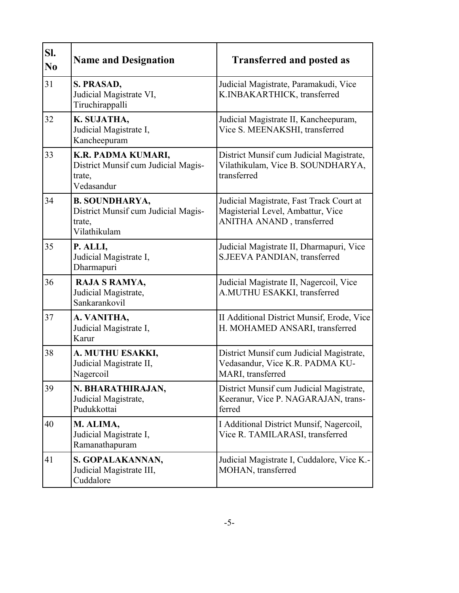| SI.<br>N <sub>0</sub> | <b>Name and Designation</b>                                                            | <b>Transferred and posted as</b>                                                                           |
|-----------------------|----------------------------------------------------------------------------------------|------------------------------------------------------------------------------------------------------------|
| 31                    | S. PRASAD,<br>Judicial Magistrate VI,<br>Tiruchirappalli                               | Judicial Magistrate, Paramakudi, Vice<br>K.INBAKARTHICK, transferred                                       |
| 32                    | K. SUJATHA,<br>Judicial Magistrate I,<br>Kancheepuram                                  | Judicial Magistrate II, Kancheepuram,<br>Vice S. MEENAKSHI, transferred                                    |
| 33                    | K.R. PADMA KUMARI,<br>District Munsif cum Judicial Magis-<br>trate,<br>Vedasandur      | District Munsif cum Judicial Magistrate,<br>Vilathikulam, Vice B. SOUNDHARYA,<br>transferred               |
| 34                    | <b>B. SOUNDHARYA,</b><br>District Munsif cum Judicial Magis-<br>trate,<br>Vilathikulam | Judicial Magistrate, Fast Track Court at<br>Magisterial Level, Ambattur, Vice<br>ANITHA ANAND, transferred |
| 35                    | P. ALLI,<br>Judicial Magistrate I,<br>Dharmapuri                                       | Judicial Magistrate II, Dharmapuri, Vice<br>S.JEEVA PANDIAN, transferred                                   |
| 36                    | RAJA S RAMYA,<br>Judicial Magistrate,<br>Sankarankovil                                 | Judicial Magistrate II, Nagercoil, Vice<br>A.MUTHU ESAKKI, transferred                                     |
| 37                    | A. VANITHA,<br>Judicial Magistrate I,<br>Karur                                         | II Additional District Munsif, Erode, Vice<br>H. MOHAMED ANSARI, transferred                               |
| 38                    | A. MUTHU ESAKKI,<br>Judicial Magistrate II,<br>Nagercoil                               | District Munsif cum Judicial Magistrate,<br>Vedasandur, Vice K.R. PADMA KU-<br>MARI, transferred           |
| 39                    | N. BHARATHIRAJAN,<br>Judicial Magistrate,<br>Pudukkottai                               | District Munsif cum Judicial Magistrate,<br>Keeranur, Vice P. NAGARAJAN, trans-<br>ferred                  |
| 40                    | M. ALIMA,<br>Judicial Magistrate I,<br>Ramanathapuram                                  | I Additional District Munsif, Nagercoil,<br>Vice R. TAMILARASI, transferred                                |
| 41                    | S. GOPALAKANNAN,<br>Judicial Magistrate III,<br>Cuddalore                              | Judicial Magistrate I, Cuddalore, Vice K.-<br>MOHAN, transferred                                           |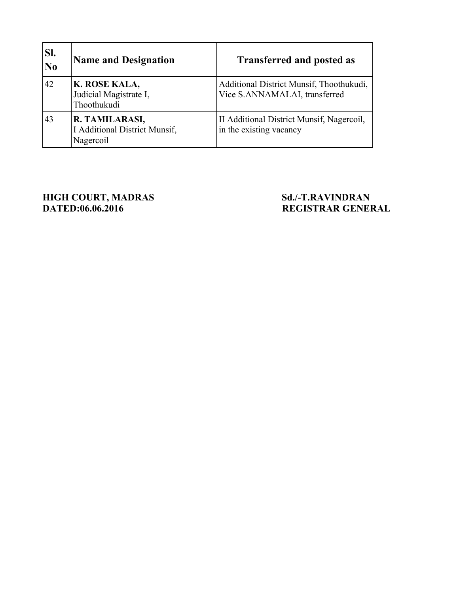| SI.<br>$\overline{\bf No}$ | <b>Name and Designation</b>                                  | <b>Transferred and posted as</b>                                          |
|----------------------------|--------------------------------------------------------------|---------------------------------------------------------------------------|
| 42                         | K. ROSE KALA,<br>Judicial Magistrate I,<br>Thoothukudi       | Additional District Munsif, Thoothukudi,<br>Vice S.ANNAMALAI, transferred |
| 43                         | R. TAMILARASI,<br>I Additional District Munsif,<br>Nagercoil | II Additional District Munsif, Nagercoil,<br>in the existing vacancy      |

**HIGH COURT, MADRAS Sd./-T.RAVINDRAN**<br> **DATED:06.06.2016 REGISTRAR GENEE** 

# **REGISTRAR GENERAL**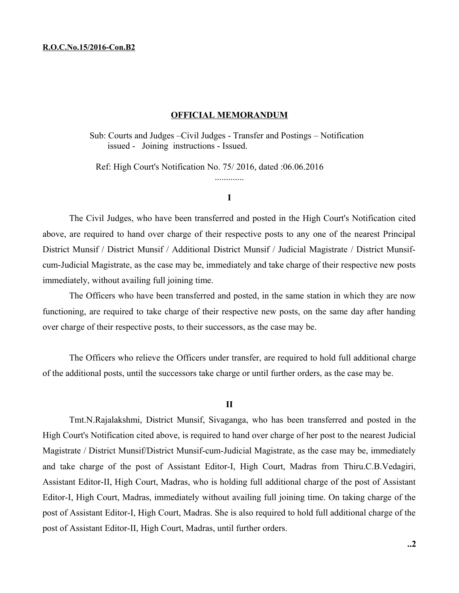#### **R.O.C.No.15/2016-Con.B2**

### **OFFICIAL MEMORANDUM**

Sub: Courts and Judges –Civil Judges - Transfer and Postings – Notification issued - Joining instructions - Issued.

Ref: High Court's Notification No. 75/ 2016, dated :06.06.2016

**I**

.............

The Civil Judges, who have been transferred and posted in the High Court's Notification cited above, are required to hand over charge of their respective posts to any one of the nearest Principal District Munsif / District Munsif / Additional District Munsif / Judicial Magistrate / District Munsifcum-Judicial Magistrate, as the case may be, immediately and take charge of their respective new posts immediately, without availing full joining time.

The Officers who have been transferred and posted, in the same station in which they are now functioning, are required to take charge of their respective new posts, on the same day after handing over charge of their respective posts, to their successors, as the case may be.

The Officers who relieve the Officers under transfer, are required to hold full additional charge of the additional posts, until the successors take charge or until further orders, as the case may be.

#### **II**

Tmt.N.Rajalakshmi, District Munsif, Sivaganga, who has been transferred and posted in the High Court's Notification cited above, is required to hand over charge of her post to the nearest Judicial Magistrate / District Munsif/District Munsif-cum-Judicial Magistrate, as the case may be, immediately and take charge of the post of Assistant Editor-I, High Court, Madras from Thiru.C.B.Vedagiri, Assistant Editor-II, High Court, Madras, who is holding full additional charge of the post of Assistant Editor-I, High Court, Madras, immediately without availing full joining time. On taking charge of the post of Assistant Editor-I, High Court, Madras. She is also required to hold full additional charge of the post of Assistant Editor-II, High Court, Madras, until further orders.